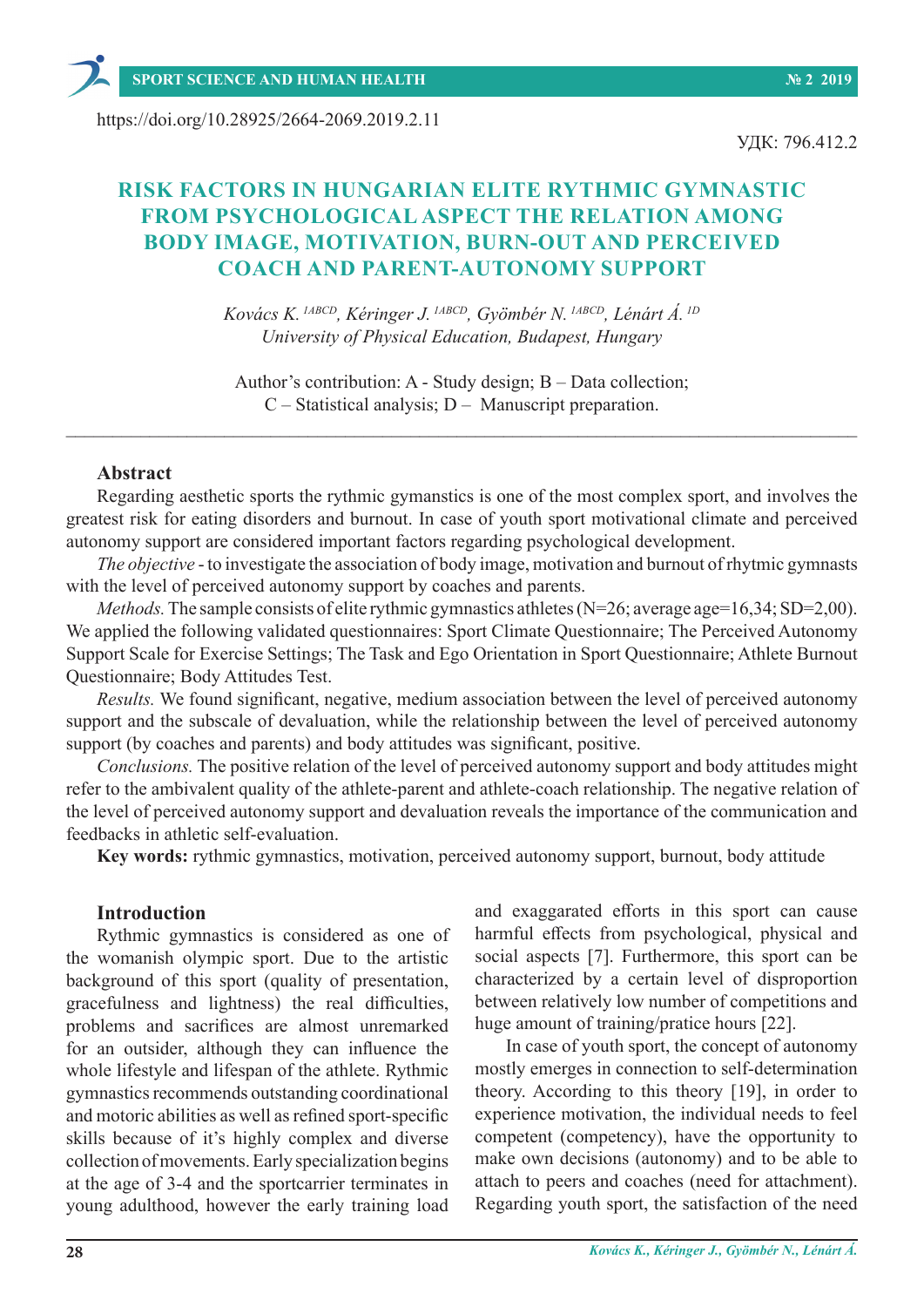https://doi.org/10.28925/2664-2069.2019.2.11

УДК: 796.412.2

# **RISK FACTORS IN HUNGARIAN ELITE RYTHMIC GYMNASTIC FROM PSYCHOLOGICAL ASPECT THE RELATION AMONG BODY IMAGE, MOTIVATION, BURN-OUT AND PERCEIVED COACH AND PARENT-AUTONOMY SUPPORT**

*Kovács K. 1АBCD, Kéringer J. 1АBCD, Gyömbér N. 1АBCD, Lénárt Á. 1D University of Physical Education, Budapest, Hungary*

Author's contribution: A - Study design; B – Data collection; C – Statistical analysis; D – Manuscript preparation.

 $\_$  , and the set of the set of the set of the set of the set of the set of the set of the set of the set of the set of the set of the set of the set of the set of the set of the set of the set of the set of the set of th

## **Abstract**

Regarding aesthetic sports the rythmic gymanstics is one of the most complex sport, and involves the greatest risk for eating disorders and burnout. In case of youth sport motivational climate and perceived autonomy support are considered important factors regarding psychological development.

*The objective* - to investigate the association of body image, motivation and burnout of rhytmic gymnasts with the level of perceived autonomy support by coaches and parents.

*Methods.* The sample consists of elite rythmic gymnastics athletes (N=26; average age=16,34; SD=2,00). We applied the following validated questionnaires: Sport Climate Questionnaire; The Perceived Autonomy Support Scale for Exercise Settings; The Task and Ego Orientation in Sport Questionnaire; Athlete Burnout Questionnaire; Body Attitudes Test.

*Results.* We found significant, negative, medium association between the level of perceived autonomy support and the subscale of devaluation, while the relationship between the level of perceived autonomy support (by coaches and parents) and body attitudes was significant, positive.

*Conclusions.* The positive relation of the level of perceived autonomy support and body attitudes might refer to the ambivalent quality of the athlete-parent and athlete-coach relationship. The negative relation of the level of perceived autonomy support and devaluation reveals the importance of the communication and feedbacks in athletic self-evaluation.

**Key words:** rythmic gymnastics, motivation, perceived autonomy support, burnout, body attitude

#### **Introduction**

Rythmic gymnastics is considered as one of the womanish olympic sport. Due to the artistic background of this sport (quality of presentation, gracefulness and lightness) the real difficulties, problems and sacrifices are almost unremarked for an outsider, although they can influence the whole lifestyle and lifespan of the athlete. Rythmic gymnastics recommends outstanding coordinational and motoric abilities as well as refined sport-specific skills because of it's highly complex and diverse collection of movements. Early specialization begins at the age of 3-4 and the sportcarrier terminates in young adulthood, however the early training load

and exaggarated efforts in this sport can cause harmful effects from psychological, physical and social aspects [7]. Furthermore, this sport can be characterized by a certain level of disproportion between relatively low number of competitions and huge amount of training/pratice hours [22].

In case of youth sport, the concept of autonomy mostly emerges in connection to self-determination theory. According to this theory [19], in order to experience motivation, the individual needs to feel competent (competency), have the opportunity to make own decisions (autonomy) and to be able to attach to peers and coaches (need for attachment). Regarding youth sport, the satisfaction of the need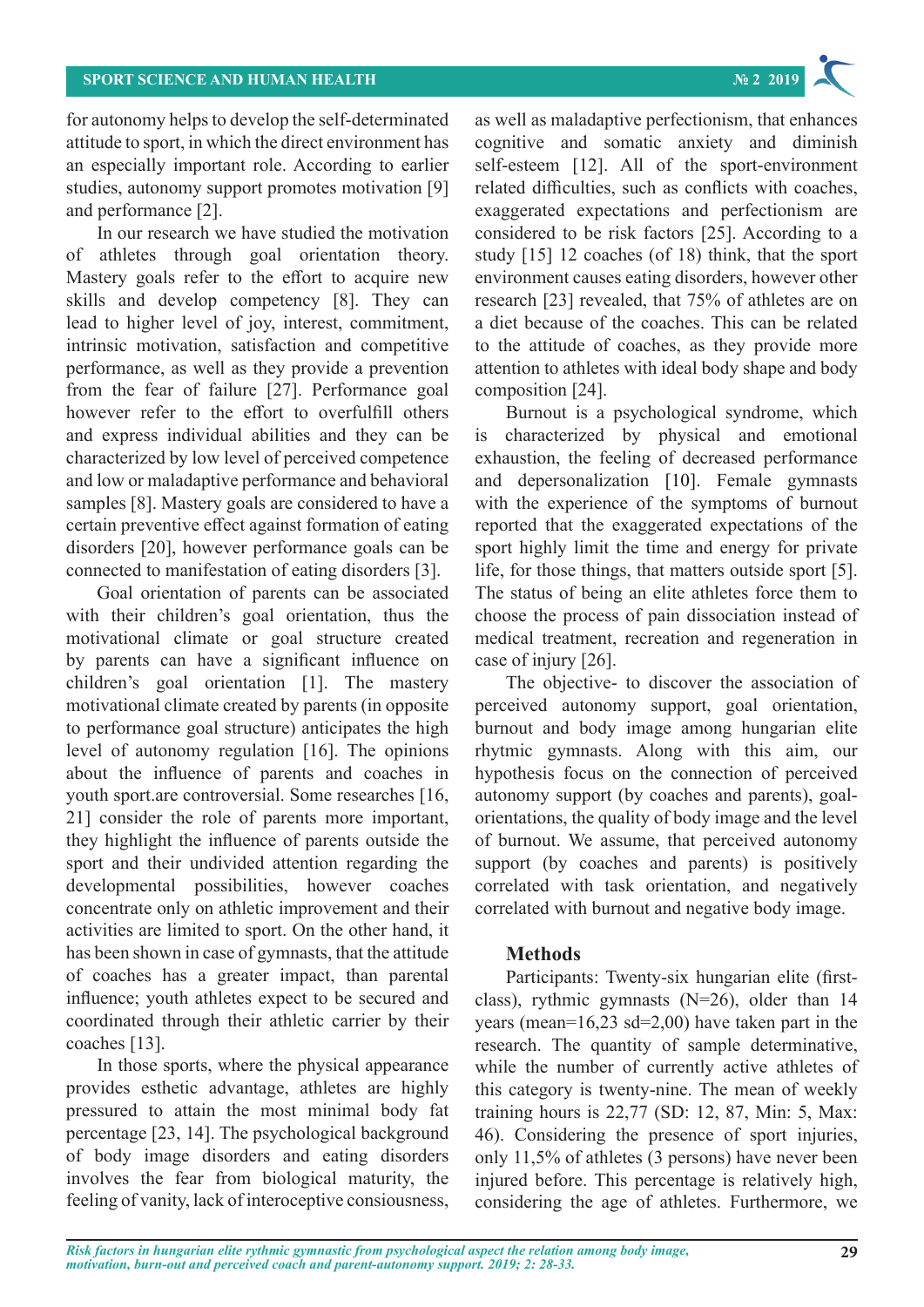

for autonomy helps to develop the self-determinated attitude to sport, in which the direct environment has an especially important role. According to earlier studies, autonomy support promotes motivation [9] and performance [2].

In our research we have studied the motivation of athletes through goal orientation theory. Mastery goals refer to the effort to acquire new skills and develop competency [8]. They can lead to higher level of joy, interest, commitment, intrinsic motivation, satisfaction and competitive performance, as well as they provide a prevention from the fear of failure [27]. Performance goal however refer to the effort to overfulfill others and express individual abilities and they can be characterized by low level of perceived competence and low or maladaptive performance and behavioral samples [8]. Mastery goals are considered to have a certain preventive effect against formation of eating disorders [20], however performance goals can be connected to manifestation of eating disorders [3].

Goal orientation of parents can be associated with their children's goal orientation, thus the motivational climate or goal structure created by parents can have a significant influence on children's goal orientation [1]. The mastery motivational climate created by parents (in opposite to performance goal structure) anticipates the high level of autonomy regulation [16]. The opinions about the influence of parents and coaches in youth sport.are controversial. Some researches [16, 21] consider the role of parents more important, they highlight the influence of parents outside the sport and their undivided attention regarding the developmental possibilities, however coaches concentrate only on athletic improvement and their activities are limited to sport. On the other hand, it has been shown in case of gymnasts, that the attitude of coaches has a greater impact, than parental influence; youth athletes expect to be secured and coordinated through their athletic carrier by their coaches [13].

In those sports, where the physical appearance provides esthetic advantage, athletes are highly pressured to attain the most minimal body fat percentage [23, 14]. The psychological background of body image disorders and eating disorders involves the fear from biological maturity, the feeling of vanity, lack of interoceptive consiousness,

as well as maladaptive perfectionism, that enhances cognitive and somatic anxiety and diminish self-esteem [12]. All of the sport-environment related difficulties, such as conflicts with coaches, exaggerated expectations and perfectionism are considered to be risk factors [25]. According to a study [15] 12 coaches (of 18) think, that the sport environment causes eating disorders, however other research [23] revealed, that 75% of athletes are on a diet because of the coaches. This can be related to the attitude of coaches, as they provide more attention to athletes with ideal body shape and body composition [24].

Burnout is a psychological syndrome, which is characterized by physical and emotional exhaustion, the feeling of decreased performance and depersonalization [10]. Female gymnasts with the experience of the symptoms of burnout reported that the exaggerated expectations of the sport highly limit the time and energy for private life, for those things, that matters outside sport [5]. The status of being an elite athletes force them to choose the process of pain dissociation instead of medical treatment, recreation and regeneration in case of injury [26].

The objective- to discover the association of perceived autonomy support, goal orientation, burnout and body image among hungarian elite rhytmic gymnasts. Along with this aim, our hypothesis focus on the connection of perceived autonomy support (by coaches and parents), goalorientations, the quality of body image and the level of burnout. We assume, that perceived autonomy support (by coaches and parents) is positively correlated with task orientation, and negatively correlated with burnout and negative body image.

#### **Methods**

Participants: Twenty-six hungarian elite (firstclass), rythmic gymnasts (N=26), older than 14 years (mean= $16,23$  sd= $2,00$ ) have taken part in the research. The quantity of sample determinative, while the number of currently active athletes of this category is twenty-nine. The mean of weekly training hours is 22,77 (SD: 12, 87, Min: 5, Max: 46). Considering the presence of sport injuries, only 11,5% of athletes (3 persons) have never been injured before. This percentage is relatively high, considering the age of athletes. Furthermore, we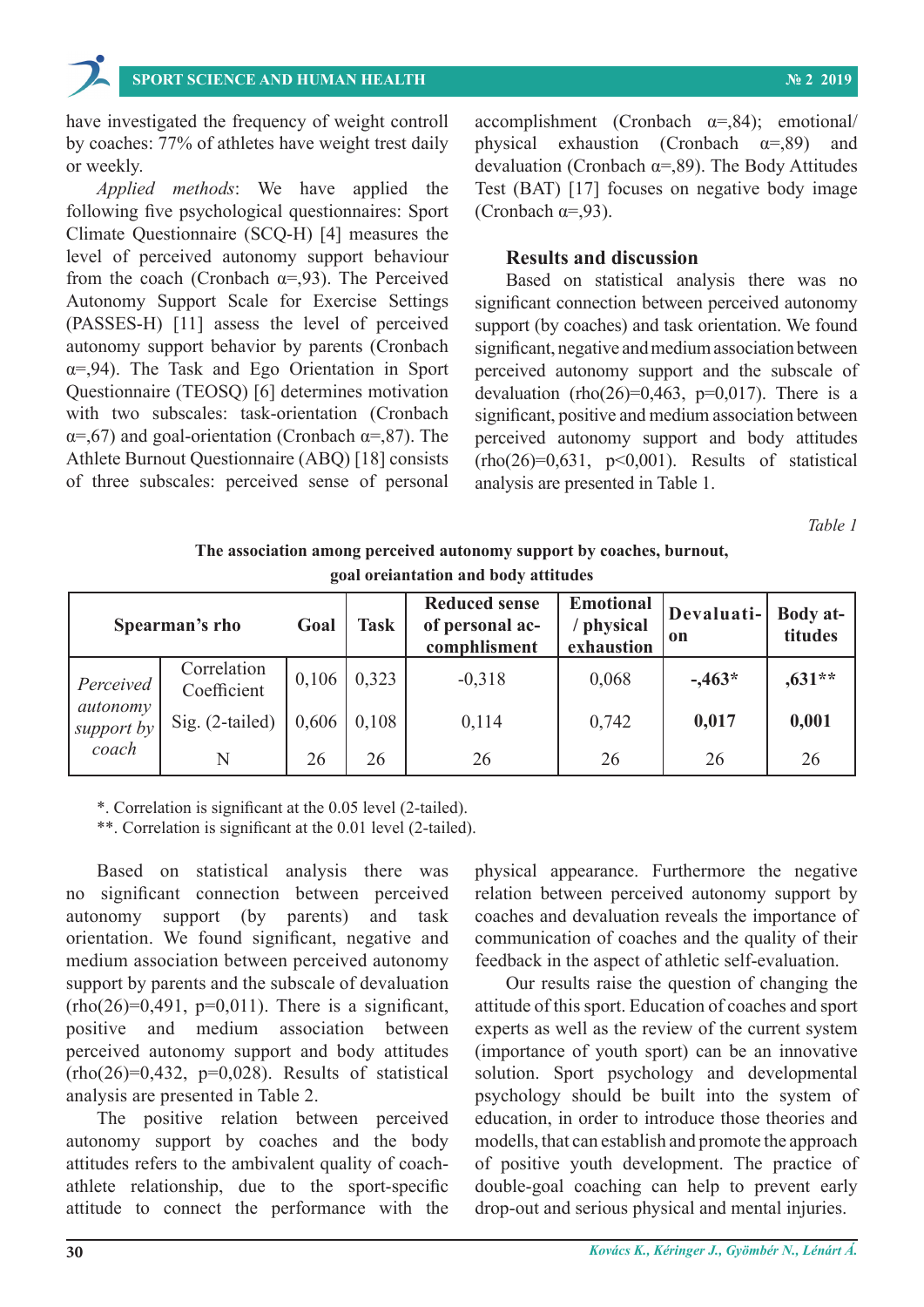have investigated the frequency of weight controll by coaches: 77% of athletes have weight trest daily or weekly.

*Applied methods*: We have applied the following five psychological questionnaires: Sport Climate Questionnaire (SCQ-H) [4] measures the level of perceived autonomy support behaviour from the coach (Cronbach  $\alpha = 0.93$ ). The Perceived Autonomy Support Scale for Exercise Settings (PASSES-H) [11] assess the level of perceived autonomy support behavior by parents (Cronbach α=,94). The Task and Ego Orientation in Sport Questionnaire (TEOSQ) [6] determines motivation with two subscales: task-orientation (Cronbach  $\alpha = 67$ ) and goal-orientation (Cronbach  $\alpha = 87$ ). The Athlete Burnout Questionnaire (ABQ) [18] consists of three subscales: perceived sense of personal

accomplishment (Cronbach  $\alpha =$ ,84); emotional/ physical exhaustion (Cronbach  $\alpha =$ ,89) and devaluation (Cronbach  $\alpha =$ ,89). The Body Attitudes Test (BAT) [17] focuses on negative body image (Cronbach  $\alpha = 0.93$ ).

#### **Results and discussion**

Based on statistical analysis there was no significant connection between perceived autonomy support (by coaches) and task orientation. We found significant, negative and medium association between perceived autonomy support and the subscale of devaluation (rho(26)=0,463, p=0,017). There is a significant, positive and medium association between perceived autonomy support and body attitudes  $(rho(26)=0.631, p<0.001)$ . Results of statistical analysis are presented in Table 1.

*Table 1*

#### **The association among perceived autonomy support by coaches, burnout, goal oreiantation and body attitudes**

| Spearman's rho         |                            | Goal  | <b>Task</b> | <b>Reduced sense</b><br>of personal ac-<br>comphlisment | <b>Emotional</b><br>/ physical<br>exhaustion | Devaluati-<br>on | <b>Body at-</b><br>titudes |
|------------------------|----------------------------|-------|-------------|---------------------------------------------------------|----------------------------------------------|------------------|----------------------------|
| Perceived              | Correlation<br>Coefficient | 0,106 | 0,323       | $-0,318$                                                | 0,068                                        | $-463*$          | $,631**$                   |
| autonomy<br>support by | Sig. (2-tailed)            | 0,606 | 0.108       | 0,114                                                   | 0,742                                        | 0,017            | 0,001                      |
| coach                  | N                          | 26    | 26          | 26                                                      | 26                                           | 26               | 26                         |

\*. Correlation is significant at the 0.05 level (2-tailed).

\*\*. Correlation is significant at the 0.01 level (2-tailed).

Based on statistical analysis there was no significant connection between perceived autonomy support (by parents) and task orientation. We found significant, negative and medium association between perceived autonomy support by parents and the subscale of devaluation  $(rho(26)=0,491, p=0,011)$ . There is a significant, positive and medium association between perceived autonomy support and body attitudes  $(rho(26)=0.432, p=0.028)$ . Results of statistical analysis are presented in Table 2.

The positive relation between perceived autonomy support by coaches and the body attitudes refers to the ambivalent quality of coachathlete relationship, due to the sport-specific attitude to connect the performance with the physical appearance. Furthermore the negative relation between perceived autonomy support by coaches and devaluation reveals the importance of communication of coaches and the quality of their feedback in the aspect of athletic self-evaluation.

Our results raise the question of changing the attitude of this sport. Education of coaches and sport experts as well as the review of the current system (importance of youth sport) can be an innovative solution. Sport psychology and developmental psychology should be built into the system of education, in order to introduce those theories and modells, that can establish and promote the approach of positive youth development. The practice of double-goal coaching can help to prevent early drop-out and serious physical and mental injuries.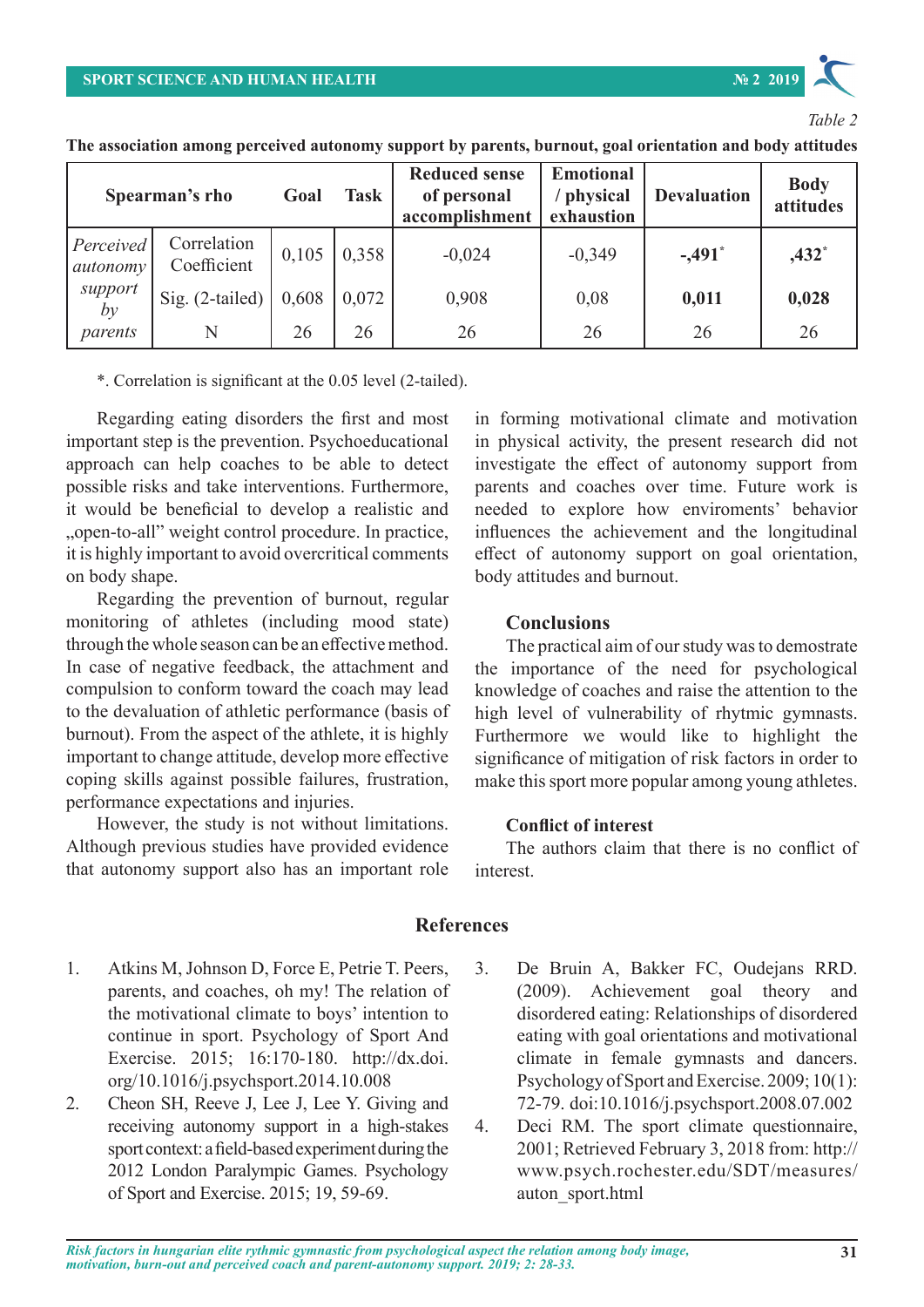

## *Table 2*

**The association among perceived autonomy support by parents, burnout, goal orientation and body attitudes**

| Spearman's rho        |                            | Goal  | <b>Task</b> | <b>Reduced sense</b><br>of personal<br>accomplishment | <b>Emotional</b><br>physical<br>exhaustion | <b>Devaluation</b>   | <b>Body</b><br>attitudes |
|-----------------------|----------------------------|-------|-------------|-------------------------------------------------------|--------------------------------------------|----------------------|--------------------------|
| Perceived<br>autonomy | Correlation<br>Coefficient | 0,105 | 0.358       | $-0,024$                                              | $-0,349$                                   | $-.491$ <sup>*</sup> | $,432*$                  |
| support<br>by         | Sig. (2-tailed)            | 0,608 | 0,072       | 0,908                                                 | 0,08                                       | 0,011                | 0,028                    |
| parents               | N                          | 26    | 26          | 26                                                    | 26                                         | 26                   | 26                       |

\*. Correlation is significant at the 0.05 level (2-tailed).

Regarding eating disorders the first and most important step is the prevention. Psychoeducational approach can help coaches to be able to detect possible risks and take interventions. Furthermore, it would be beneficial to develop a realistic and "open-to-all" weight control procedure. In practice, it is highly important to avoid overcritical comments on body shape.

Regarding the prevention of burnout, regular monitoring of athletes (including mood state) through the whole season can be an effective method. In case of negative feedback, the attachment and compulsion to conform toward the coach may lead to the devaluation of athletic performance (basis of burnout). From the aspect of the athlete, it is highly important to change attitude, develop more effective coping skills against possible failures, frustration, performance expectations and injuries.

However, the study is not without limitations. Although previous studies have provided evidence that autonomy support also has an important role in forming motivational climate and motivation in physical activity, the present research did not investigate the effect of autonomy support from parents and coaches over time. Future work is needed to explore how enviroments' behavior influences the achievement and the longitudinal effect of autonomy support on goal orientation, body attitudes and burnout.

## **Conclusions**

The practical aim of our study was to demostrate the importance of the need for psychological knowledge of coaches and raise the attention to the high level of vulnerability of rhytmic gymnasts. Furthermore we would like to highlight the significance of mitigation of risk factors in order to make this sport more popular among young athletes.

#### **Conflict of interest**

The authors claim that there is no conflict of interest.

## **References**

- 1. Atkins M, Johnson D, Force E, Petrie T. Peers, parents, and coaches, oh my! The relation of the motivational climate to boys' intention to continue in sport. Psychology of Sport And Exercise. 2015; 16:170-180. http://dx.doi. org/10.1016/j.psychsport.2014.10.008
- 2. Cheon SH, Reeve J, Lee J, Lee Y. Giving and receiving autonomy support in a high-stakes sport context: a field-based experiment during the 2012 London Paralympic Games. Psychology of Sport and Exercise. 2015; 19, 59-69.
- 3. De Bruin A, Bakker FC, Oudejans RRD. (2009). Achievement goal theory and disordered eating: Relationships of disordered eating with goal orientations and motivational climate in female gymnasts and dancers. Psychology of Sport and Exercise. 2009; 10(1): 72-79. doi:10.1016/j.psychsport.2008.07.002
- 4. Deci RM. The sport climate questionnaire, 2001; Retrieved February 3, 2018 from: http:// www.psych.rochester.edu/SDT/measures/ auton\_sport.html

*Risk factors in hungarian elite rythmic gymnastic from psychological aspect the relation among body image,* **31** *motivation, burn-out and perceived coach and parent-autonomy support. 2019; 2: 28-33.*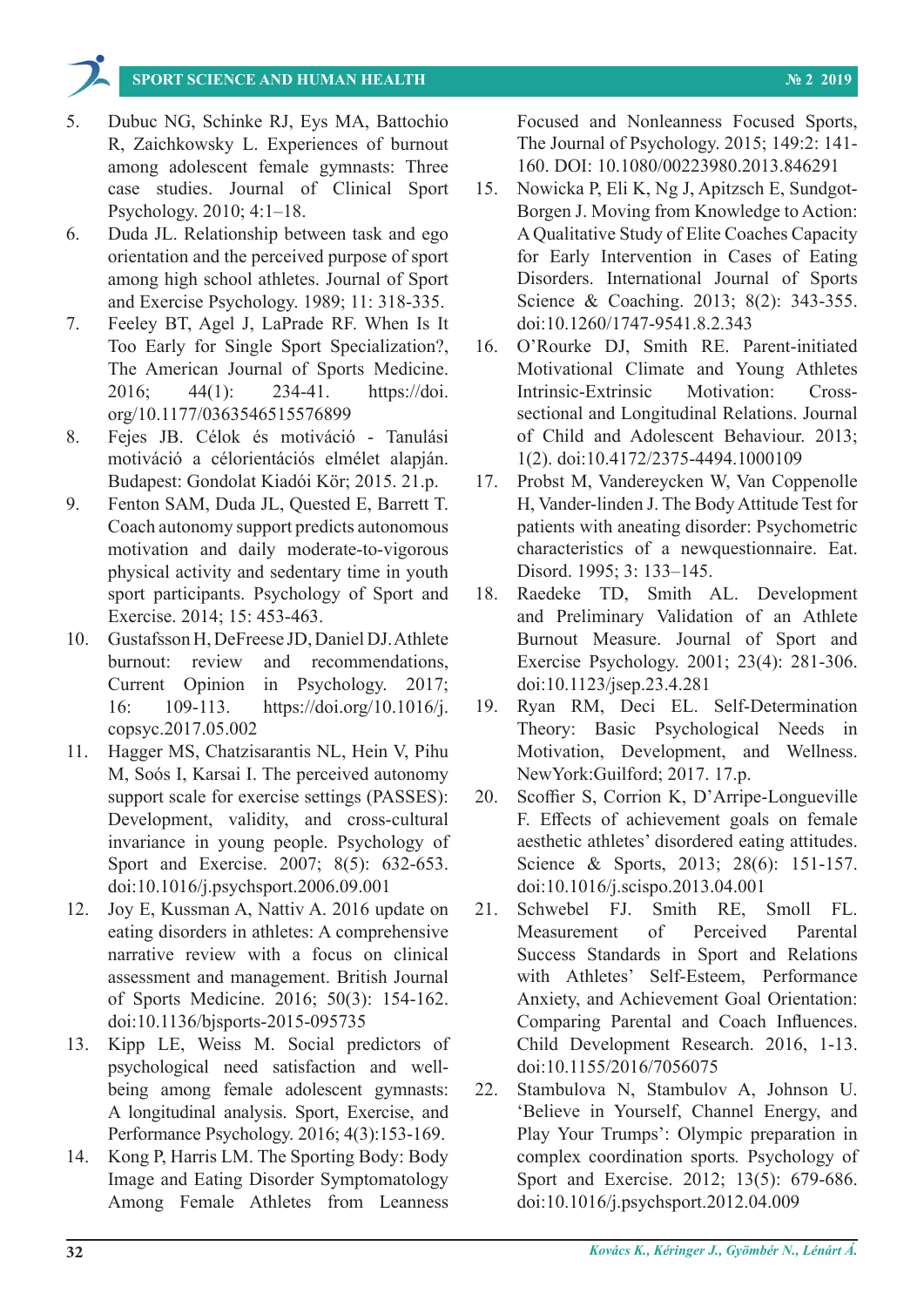

- 5. Dubuc NG, Schinke RJ, Eys MA, Battochio R, Zaichkowsky L. Experiences of burnout among adolescent female gymnasts: Three case studies. Journal of Clinical Sport Psychology. 2010; 4:1–18.
- 6. Duda JL. Relationship between task and ego orientation and the perceived purpose of sport among high school athletes. Journal of Sport and Exercise Psychology. 1989; 11: 318-335.
- 7. Feeley BT, Agel J, LaPrade RF. When Is It Too Early for Single Sport Specialization?, The American Journal of Sports Medicine. 2016; 44(1): 234-41. https://doi. org/10.1177/0363546515576899
- 8. Fejes JB. Célok és motiváció Tanulási motiváció a célorientációs elmélet alapján. Budapest: Gondolat Kiadói Kör; 2015. 21.p.
- 9. Fenton SAM, Duda JL, Quested E, Barrett T. Coach autonomy support predicts autonomous motivation and daily moderate-to-vigorous physical activity and sedentary time in youth sport participants. Psychology of Sport and Exercise. 2014; 15: 453-463.
- 10. Gustafsson H, DeFreese JD, Daniel DJ. Athlete burnout: review and recommendations, Current Opinion in Psychology. 2017; 16: 109-113. https://doi.org/10.1016/j. copsyc.2017.05.002
- 11. Hagger MS, Chatzisarantis NL, Hein V, Pihu M, Soós I, Karsai I. The perceived autonomy support scale for exercise settings (PASSES): Development, validity, and cross-cultural invariance in young people. Psychology of Sport and Exercise. 2007; 8(5): 632-653. doi:10.1016/j.psychsport.2006.09.001
- 12. Joy E, Kussman A, Nattiv A. 2016 update on eating disorders in athletes: A comprehensive narrative review with a focus on clinical assessment and management. British Journal of Sports Medicine. 2016; 50(3): 154-162. doi:10.1136/bjsports-2015-095735
- 13. Kipp LE, Weiss M. Social predictors of psychological need satisfaction and wellbeing among female adolescent gymnasts: A longitudinal analysis. Sport, Exercise, and Performance Psychology. 2016; 4(3):153-169.
- 14. Kong P, Harris LM. The Sporting Body: Body Image and Eating Disorder Symptomatology Among Female Athletes from Leanness

Focused and Nonleanness Focused Sports, The Journal of Psychology. 2015; 149:2: 141- 160. DOI: 10.1080/00223980.2013.846291

- 15. Nowicka P, Eli K, Ng J, Apitzsch E, Sundgot-Borgen J. Moving from Knowledge to Action: A Qualitative Study of Elite Coaches Capacity for Early Intervention in Cases of Eating Disorders. International Journal of Sports Science & Coaching. 2013; 8(2): 343-355. doi:10.1260/1747-9541.8.2.343
- 16. O'Rourke DJ, Smith RE. Parent-initiated Motivational Climate and Young Athletes Intrinsic-Extrinsic Motivation: Crosssectional and Longitudinal Relations. Journal of Child and Adolescent Behaviour. 2013; 1(2). doi:10.4172/2375-4494.1000109
- 17. Probst M, Vandereycken W, Van Coppenolle H, Vander-linden J. The Body Attitude Test for patients with aneating disorder: Psychometric characteristics of a newquestionnaire. Eat. Disord. 1995; 3: 133–145.
- 18. Raedeke TD, Smith AL. Development and Preliminary Validation of an Athlete Burnout Measure. Journal of Sport and Exercise Psychology. 2001; 23(4): 281-306. doi:10.1123/jsep.23.4.281
- 19. Ryan RM, Deci EL. Self-Determination Theory: Basic Psychological Needs in Motivation, Development, and Wellness. NewYork:Guilford; 2017. 17.p.
- 20. Scoffier S, Corrion K, D'Arripe-Longueville F. Effects of achievement goals on female aesthetic athletes' disordered eating attitudes. Science & Sports, 2013; 28(6): 151-157. doi:10.1016/j.scispo.2013.04.001
- 21. Schwebel FJ. Smith RE, Smoll FL. Measurement of Perceived Parental Success Standards in Sport and Relations with Athletes' Self-Esteem, Performance Anxiety, and Achievement Goal Orientation: Comparing Parental and Coach Influences. Child Development Research. 2016, 1-13. doi:10.1155/2016/7056075
- 22. Stambulova N, Stambulov A, Johnson U. 'Believe in Yourself, Channel Energy, and Play Your Trumps': Olympic preparation in complex coordination sports*.* Psychology of Sport and Exercise. 2012; 13(5): 679-686. doi:10.1016/j.psychsport.2012.04.009